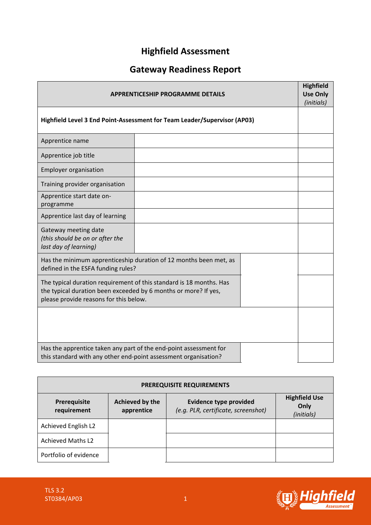## **Highfield Assessment**

# **Gateway Readiness Report**

| <b>APPRENTICESHIP PROGRAMME DETAILS</b>                                                                                                                                          |  |  |  |
|----------------------------------------------------------------------------------------------------------------------------------------------------------------------------------|--|--|--|
| Highfield Level 3 End Point-Assessment for Team Leader/Supervisor (AP03)                                                                                                         |  |  |  |
| Apprentice name                                                                                                                                                                  |  |  |  |
| Apprentice job title                                                                                                                                                             |  |  |  |
| <b>Employer organisation</b>                                                                                                                                                     |  |  |  |
| Training provider organisation                                                                                                                                                   |  |  |  |
| Apprentice start date on-<br>programme                                                                                                                                           |  |  |  |
| Apprentice last day of learning                                                                                                                                                  |  |  |  |
| Gateway meeting date<br>(this should be on or after the<br>last day of learning)                                                                                                 |  |  |  |
| Has the minimum apprenticeship duration of 12 months been met, as<br>defined in the ESFA funding rules?                                                                          |  |  |  |
| The typical duration requirement of this standard is 18 months. Has<br>the typical duration been exceeded by 6 months or more? If yes,<br>please provide reasons for this below. |  |  |  |
|                                                                                                                                                                                  |  |  |  |
| Has the apprentice taken any part of the end-point assessment for<br>this standard with any other end-point assessment organisation?                                             |  |  |  |

| <b>PREREQUISITE REQUIREMENTS</b> |                                      |                                                                      |                                            |  |  |  |  |
|----------------------------------|--------------------------------------|----------------------------------------------------------------------|--------------------------------------------|--|--|--|--|
| Prerequisite<br>requirement      | <b>Achieved by the</b><br>apprentice | <b>Evidence type provided</b><br>(e.g. PLR, certificate, screenshot) | <b>Highfield Use</b><br>Only<br>(initials) |  |  |  |  |
| Achieved English L2              |                                      |                                                                      |                                            |  |  |  |  |
| <b>Achieved Maths L2</b>         |                                      |                                                                      |                                            |  |  |  |  |
| Portfolio of evidence            |                                      |                                                                      |                                            |  |  |  |  |

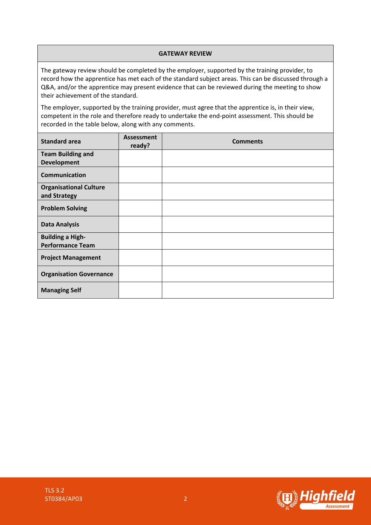#### **GATEWAY REVIEW**

The gateway review should be completed by the employer, supported by the training provider, to record how the apprentice has met each of the standard subject areas. This can be discussed through a Q&A, and/or the apprentice may present evidence that can be reviewed during the meeting to show their achievement of the standard.

The employer, supported by the training provider, must agree that the apprentice is, in their view, competent in the role and therefore ready to undertake the end-point assessment. This should be recorded in the table below, along with any comments.

| <b>Standard area</b>                          | <b>Assessment</b><br>ready? | <b>Comments</b> |
|-----------------------------------------------|-----------------------------|-----------------|
| <b>Team Building and</b>                      |                             |                 |
| <b>Development</b>                            |                             |                 |
| Communication                                 |                             |                 |
| <b>Organisational Culture</b><br>and Strategy |                             |                 |
| <b>Problem Solving</b>                        |                             |                 |
| <b>Data Analysis</b>                          |                             |                 |
| <b>Building a High-</b>                       |                             |                 |
| <b>Performance Team</b>                       |                             |                 |
| <b>Project Management</b>                     |                             |                 |
| <b>Organisation Governance</b>                |                             |                 |
| <b>Managing Self</b>                          |                             |                 |